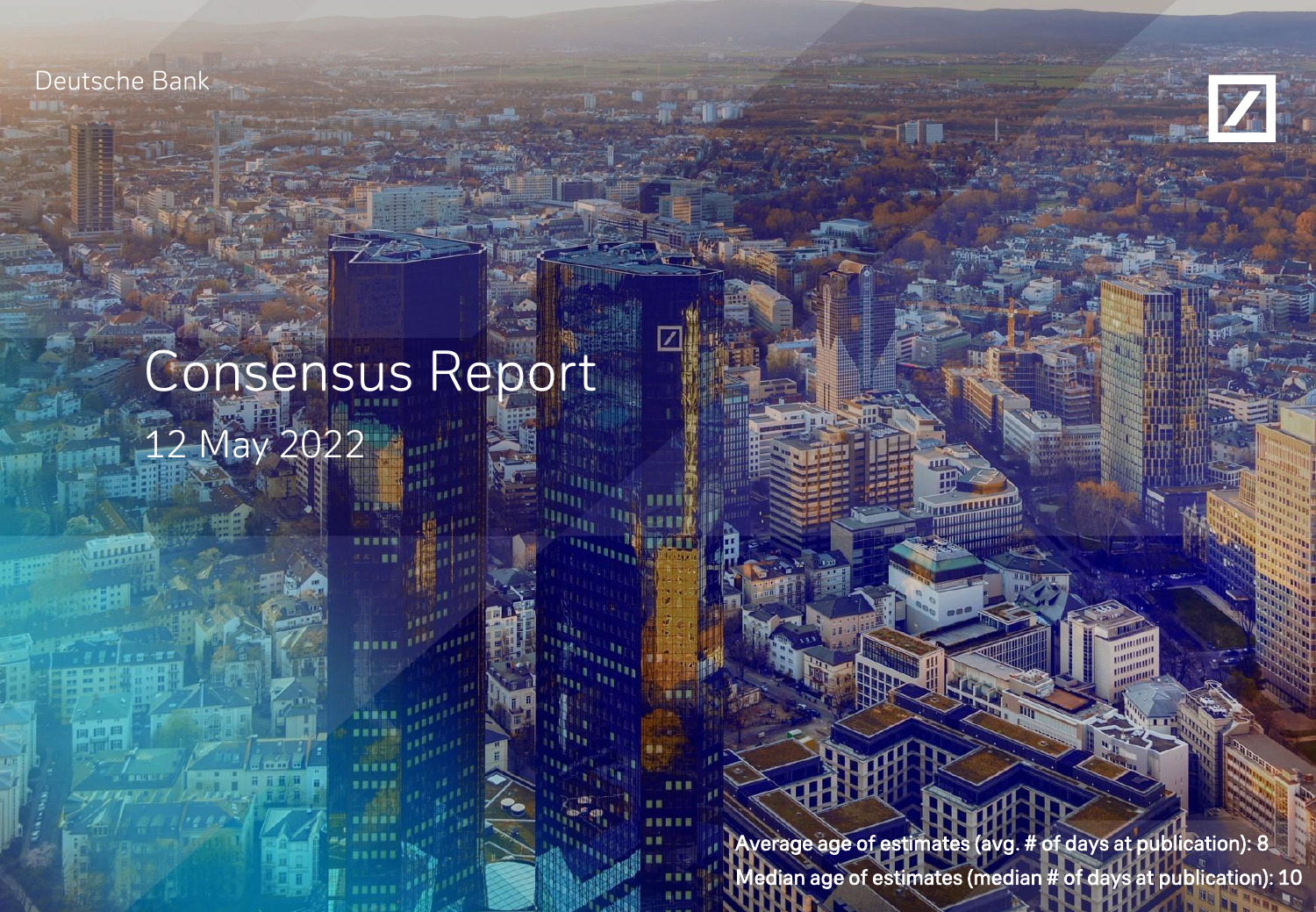Deutsche Bank



# Consensus Report 12 May 2022

Average age of estimates (avg. # of days at publication): 8 Median age of estimates (median # of days at publication): 10

**HILLIPPER**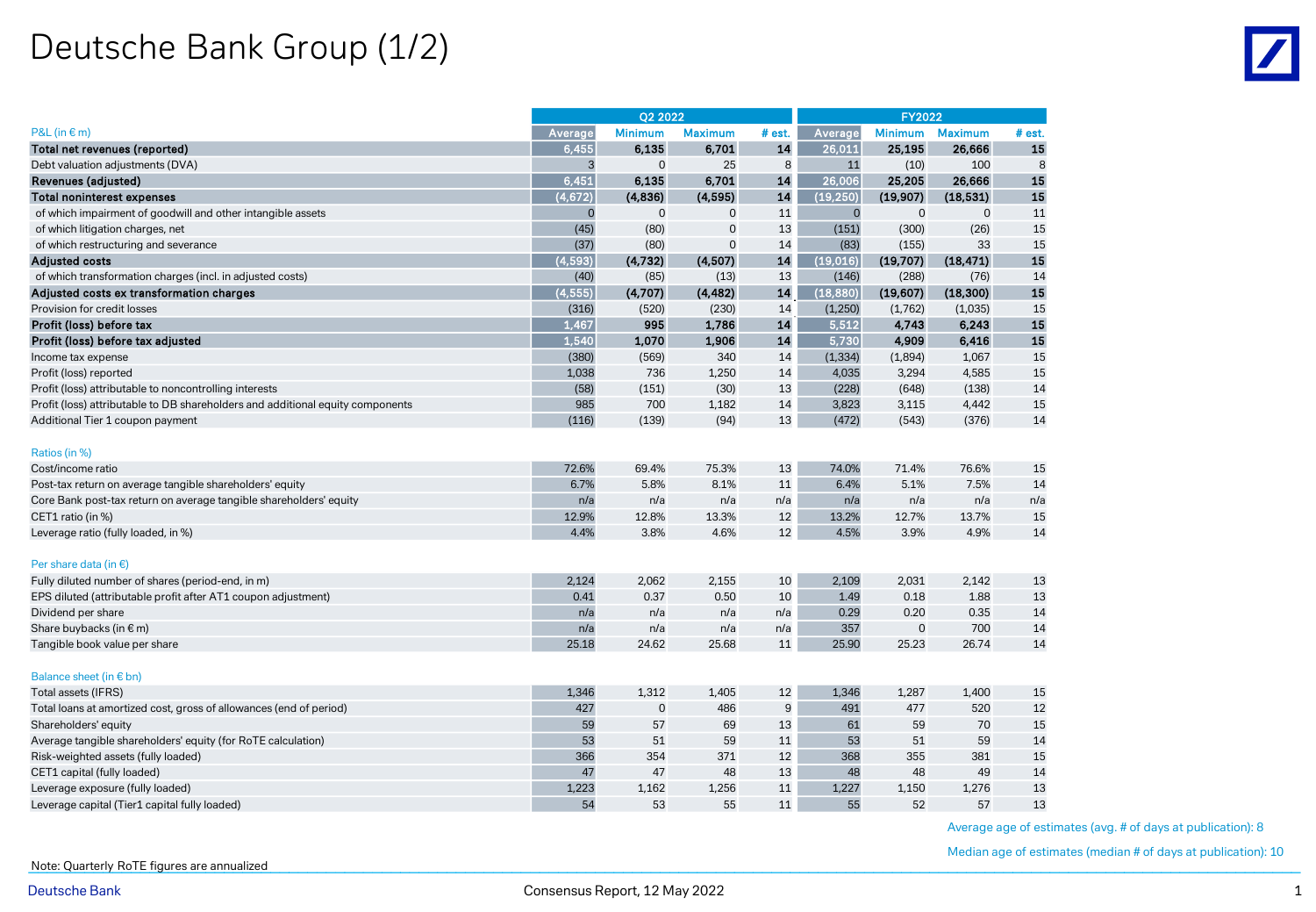## Deutsche Bank Group (1/2)

|                                                                                | Q2 2022  |                |                |        |                     | <b>FY2022</b>  |                |        |
|--------------------------------------------------------------------------------|----------|----------------|----------------|--------|---------------------|----------------|----------------|--------|
| $P&L$ (in $\in$ m)                                                             | Average  | <b>Minimum</b> | <b>Maximum</b> | # est. | Average             | <b>Minimum</b> | <b>Maximum</b> | # est. |
| Total net revenues (reported)                                                  | 6.455    | 6,135          | 6.701          | 14     | 26,011              | 25,195         | 26,666         | 15     |
| Debt valuation adjustments (DVA)                                               | 3        | $\mathbf 0$    | 25             | 8      | 11                  | (10)           | 100            | 8      |
| Revenues (adjusted)                                                            | 6,451    | 6,135          | 6,701          | 14     | $\overline{26,006}$ | 25,205         | 26,666         | 15     |
| <b>Total noninterest expenses</b>                                              | (4,672)  | (4,836)        | (4,595)        | 14     | (19, 250)           | (19, 907)      | (18, 531)      | 15     |
| of which impairment of goodwill and other intangible assets                    | 0        | $\mathbf 0$    | $\mathbf 0$    | 11     | $\mathbf 0$         | $\mathbf 0$    | $\mathbf 0$    | 11     |
| of which litigation charges, net                                               | (45)     | (80)           | $\mathbf 0$    | 13     | (151)               | (300)          | (26)           | 15     |
| of which restructuring and severance                                           | (37)     | (80)           | $\overline{0}$ | 14     | (83)                | (155)          | 33             | 15     |
| <b>Adjusted costs</b>                                                          | (4, 593) | (4,732)        | (4,507)        | 14     | (19,016)            | (19,707)       | (18, 471)      | 15     |
| of which transformation charges (incl. in adjusted costs)                      | (40)     | (85)           | (13)           | 13     | (146)               | (288)          | (76)           | 14     |
| Adjusted costs ex transformation charges                                       | (4, 555) | (4,707)        | (4, 482)       | 14     | (18, 880)           | (19,607)       | (18, 300)      | 15     |
| Provision for credit losses                                                    | (316)    | (520)          | (230)          | 14     | (1,250)             | (1,762)        | (1,035)        | 15     |
| Profit (loss) before tax                                                       | 1.467    | 995            | 1,786          | 14     | 5.512               | 4,743          | 6,243          | 15     |
| Profit (loss) before tax adjusted                                              | 1,540    | 1,070          | 1,906          | 14     | 5,730               | 4,909          | 6,416          | 15     |
| Income tax expense                                                             | (380)    | (569)          | 340            | 14     | (1, 334)            | (1,894)        | 1,067          | 15     |
| Profit (loss) reported                                                         | 1,038    | 736            | 1,250          | 14     | 4,035               | 3,294          | 4,585          | 15     |
| Profit (loss) attributable to noncontrolling interests                         | (58)     | (151)          | (30)           | 13     | (228)               | (648)          | (138)          | 14     |
| Profit (loss) attributable to DB shareholders and additional equity components | 985      | 700            | 1,182          | 14     | 3,823               | 3,115          | 4,442          | 15     |
| Additional Tier 1 coupon payment                                               | (116)    | (139)          | (94)           | 13     | (472)               | (543)          | (376)          | 14     |
| Ratios (in %)                                                                  |          |                |                |        |                     |                |                |        |
| Cost/income ratio                                                              | 72.6%    | 69.4%          | 75.3%          | 13     | 74.0%               | 71.4%          | 76.6%          | 15     |
| Post-tax return on average tangible shareholders' equity                       | 6.7%     | 5.8%           | 8.1%           | 11     | 6.4%                | 5.1%           | 7.5%           | 14     |
| Core Bank post-tax return on average tangible shareholders' equity             | n/a      | n/a            | n/a            | n/a    | n/a                 | n/a            | n/a            | n/a    |
| CET1 ratio (in %)                                                              | 12.9%    | 12.8%          | 13.3%          | 12     | 13.2%               | 12.7%          | 13.7%          | 15     |
| Leverage ratio (fully loaded, in %)                                            | 4.4%     | 3.8%           | 4.6%           | 12     | 4.5%                | 3.9%           | 4.9%           | 14     |
|                                                                                |          |                |                |        |                     |                |                |        |
| Per share data (in $\epsilon$ )                                                |          |                |                |        |                     |                |                |        |
| Fully diluted number of shares (period-end, in m)                              | 2,124    | 2,062          | 2,155          | 10     | 2,109               | 2,031          | 2,142          | 13     |
| EPS diluted (attributable profit after AT1 coupon adjustment)                  | 0.41     | 0.37           | 0.50           | 10     | 1.49                | 0.18           | 1.88           | 13     |
| Dividend per share                                                             | n/a      | n/a            | n/a            | n/a    | 0.29                | 0.20           | 0.35           | 14     |
| Share buybacks (in € m)                                                        | n/a      | n/a            | n/a            | n/a    | 357                 | $\mathbf 0$    | 700            | 14     |
| Tangible book value per share                                                  | 25.18    | 24.62          | 25.68          | 11     | 25.90               | 25.23          | 26.74          | 14     |
| Balance sheet (in $\epsilon$ bn)                                               |          |                |                |        |                     |                |                |        |
| Total assets (IFRS)                                                            | 1,346    | 1,312          | 1,405          | 12     | 1,346               | 1,287          | 1,400          | 15     |
| Total loans at amortized cost, gross of allowances (end of period)             | 427      | $\mathbf 0$    | 486            | 9      | 491                 | 477            | 520            | 12     |
| Shareholders' equity                                                           | 59       | 57             | 69             | 13     | 61                  | 59             | 70             | 15     |
| Average tangible shareholders' equity (for RoTE calculation)                   | 53       | 51             | 59             | 11     | 53                  | 51             | 59             | 14     |
| Risk-weighted assets (fully loaded)                                            | 366      | 354            | 371            | 12     | 368                 | 355            | 381            | 15     |
| CET1 capital (fully loaded)                                                    | 47       | 47             | 48             | 13     | 48                  | 48             | 49             | 14     |
| Leverage exposure (fully loaded)                                               | 1,223    | 1,162          | 1,256          | 11     | 1,227               | 1,150          | 1,276          | 13     |
| Leverage capital (Tier1 capital fully loaded)                                  | 54       | 53             | 55             | 11     | 55                  | 52             | 57             | 13     |

Average age of estimates (avg. # of days at publication): 8

Median age of estimates (median # of days at publication): 10

Note: Quarterly RoTE figures are annualized **the contract of the contract of the contract of the contract of the contract of the contract of the contract of the contract of the contract of the contract of the contract of t**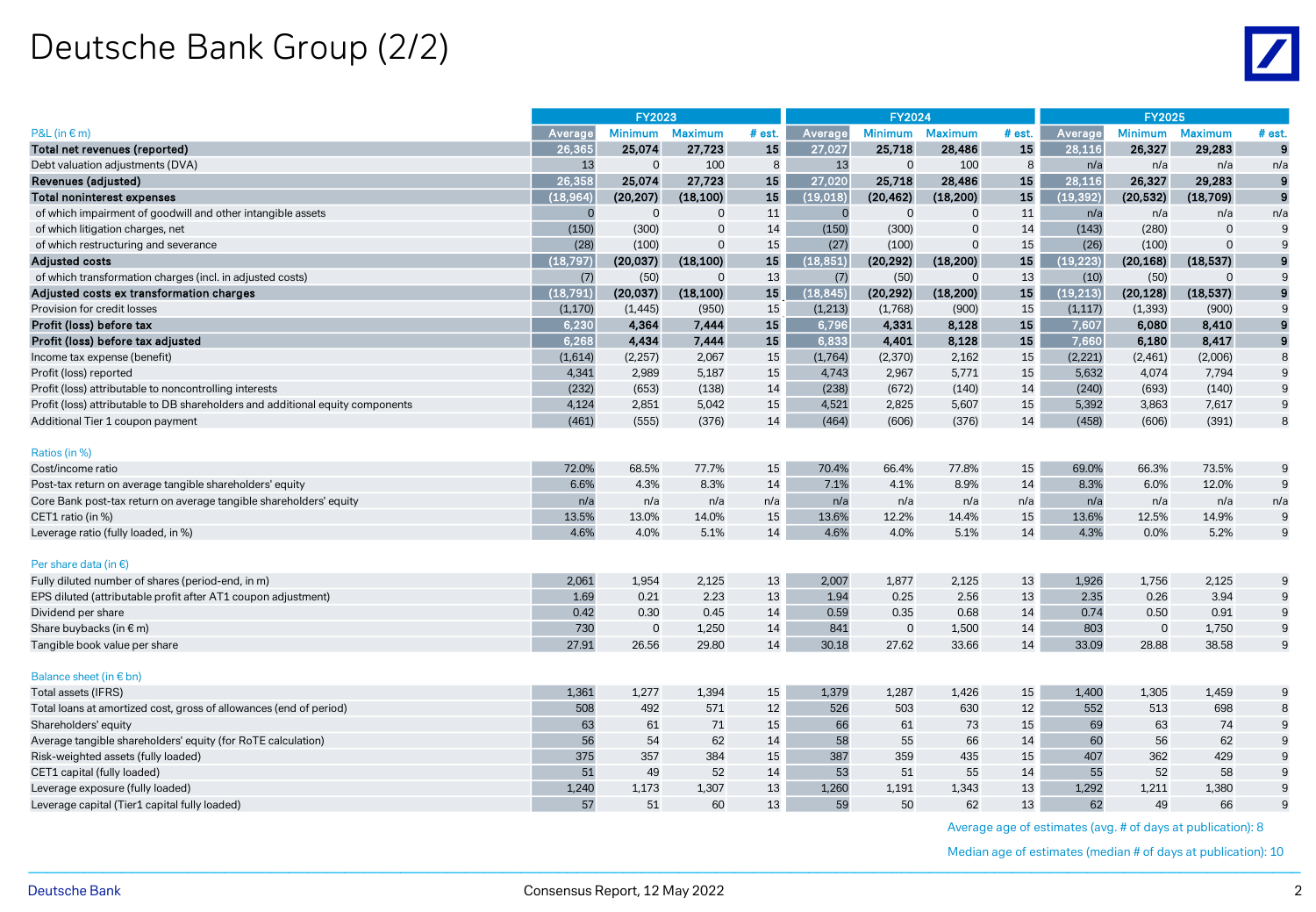# Deutsche Bank Group (2/2)

|                                                                                | <b>FY2023</b> |                |                | <b>FY2024</b> |           |                |                | <b>FY2025</b> |           |                |                |                  |
|--------------------------------------------------------------------------------|---------------|----------------|----------------|---------------|-----------|----------------|----------------|---------------|-----------|----------------|----------------|------------------|
| $P&L$ (in $\in$ m)                                                             | Average       | <b>Minimum</b> | <b>Maximum</b> | # est.        | Average   | <b>Minimum</b> | <b>Maximum</b> | # est.        | Average   | <b>Minimum</b> | <b>Maximum</b> | # est.           |
| Total net revenues (reported)                                                  | 26,365        | 25,074         | 27,723         | 15            | 27,027    | 25,718         | 28,486         | 15            | 28,116    | 26,327         | 29,283         | $\mathbf{9}$     |
| Debt valuation adjustments (DVA)                                               | 13            | $\mathbf{0}$   | 100            | 8             | 13        | $\mathbf 0$    | 100            | 8             | n/a       | n/a            | n/a            | n/a              |
| Revenues (adjusted)                                                            | 26,358        | 25,074         | 27,723         | 15            | 27,020    | 25,718         | 28,486         | 15            | 28,116    | 26,327         | 29,283         | 9                |
| Total noninterest expenses                                                     | (18, 964)     | (20, 207)      | (18, 100)      | 15            | (19, 018) | (20, 462)      | (18, 200)      | 15            | (19, 392) | (20, 532)      | (18,709)       | $\boldsymbol{9}$ |
| of which impairment of goodwill and other intangible assets                    | $\mathbf{C}$  | $\Omega$       | $\Omega$       | 11            | C         | $\Omega$       | $\Omega$       | 11            | n/a       | n/a            | n/a            | n/a              |
| of which litigation charges, net                                               | (150)         | (300)          | $\Omega$       | 14            | (150)     | (300)          | $\Omega$       | 14            | (143)     | (280)          | $\Omega$       | 9                |
| of which restructuring and severance                                           | (28)          | (100)          | $\Omega$       | 15            | (27)      | (100)          | $\Omega$       | 15            | (26)      | (100)          | $\Omega$       | 9                |
| <b>Adjusted costs</b>                                                          | (18, 797)     | (20,037)       | (18, 100)      | 15            | (18, 851) | (20, 292)      | (18, 200)      | 15            | (19, 223) | (20, 168)      | (18, 537)      | 9                |
| of which transformation charges (incl. in adjusted costs)                      | (7)           | (50)           | $\mathbf 0$    | 13            | (7)       | (50)           | $\Omega$       | 13            | (10)      | (50)           | $\Omega$       | 9                |
| Adjusted costs ex transformation charges                                       | (18, 791)     | (20, 037)      | (18, 100)      | 15            | (18, 845) | (20, 292)      | (18, 200)      | 15            | (19, 213) | (20, 128)      | (18, 537)      | 9                |
| Provision for credit losses                                                    | (1, 170)      | (1, 445)       | (950)          | 15            | (1, 213)  | (1,768)        | (900)          | 15            | (1, 117)  | (1, 393)       | (900)          | 9                |
| Profit (loss) before tax                                                       | 6.230         | 4,364          | 7,444          | 15            | 6,796     | 4,331          | 8,128          | 15            | 7,607     | 6,080          | 8,410          | 9                |
| Profit (loss) before tax adjusted                                              | 6,268         | 4,434          | 7,444          | 15            | 6,833     | 4,401          | 8,128          | 15            | 7,660     | 6,180          | 8,417          | $\boldsymbol{9}$ |
| Income tax expense (benefit)                                                   | (1,614)       | (2, 257)       | 2,067          | 15            | (1,764)   | (2, 370)       | 2,162          | 15            | (2, 221)  | (2,461)        | (2,006)        | 8                |
| Profit (loss) reported                                                         | 4,341         | 2,989          | 5,187          | 15            | 4,743     | 2,967          | 5,771          | 15            | 5,632     | 4,074          | 7,794          | 9                |
| Profit (loss) attributable to noncontrolling interests                         | (232)         | (653)          | (138)          | 14            | (238)     | (672)          | (140)          | 14            | (240)     | (693)          | (140)          | 9                |
| Profit (loss) attributable to DB shareholders and additional equity components | 4,124         | 2,851          | 5,042          | 15            | 4,521     | 2,825          | 5,607          | 15            | 5,392     | 3,863          | 7,617          | 9                |
| Additional Tier 1 coupon payment                                               | (461)         | (555)          | (376)          | 14            | (464)     | (606)          | (376)          | 14            | (458)     | (606)          | (391)          | 8                |
| Ratios (in %)                                                                  |               |                |                |               |           |                |                |               |           |                |                |                  |
| Cost/income ratio                                                              | 72.0%         | 68.5%          | 77.7%          | 15            | 70.4%     | 66.4%          | 77.8%          | 15            | 69.0%     | 66.3%          | 73.5%          | 9                |
| Post-tax return on average tangible shareholders' equity                       | 6.6%          | 4.3%           | 8.3%           | 14            | 7.1%      | 4.1%           | 8.9%           | 14            | 8.3%      | 6.0%           | 12.0%          | 9                |
| Core Bank post-tax return on average tangible shareholders' equity             | n/a           | n/a            | n/a            | n/a           | n/a       | n/a            | n/a            | n/a           | n/a       | n/a            | n/a            | n/a              |
| CET1 ratio (in %)                                                              | 13.5%         | 13.0%          | 14.0%          | 15            | 13.6%     | 12.2%          | 14.4%          | 15            | 13.6%     | 12.5%          | 14.9%          | 9                |
| Leverage ratio (fully loaded, in %)                                            | 4.6%          | 4.0%           | 5.1%           | 14            | 4.6%      | 4.0%           | 5.1%           | 14            | 4.3%      | 0.0%           | 5.2%           | 9                |
|                                                                                |               |                |                |               |           |                |                |               |           |                |                |                  |
| Per share data (in $\epsilon$ )                                                |               |                |                |               |           |                |                |               |           |                |                |                  |
| Fully diluted number of shares (period-end, in m)                              | 2,061         | 1,954          | 2,125          | 13            | 2,007     | 1,877          | 2,125          | 13            | 1,926     | 1,756          | 2,125          | 9                |
| EPS diluted (attributable profit after AT1 coupon adjustment)                  | 1.69          | 0.21           | 2.23           | 13            | 1.94      | 0.25           | 2.56           | 13            | 2.35      | 0.26           | 3.94           | 9                |
| Dividend per share                                                             | 0.42          | 0.30           | 0.45           | 14            | 0.59      | 0.35           | 0.68           | 14            | 0.74      | 0.50           | 0.91           | 9                |
| Share buybacks (in € m)                                                        | 730           | $\overline{0}$ | 1,250          | 14            | 841       | $\mathbf 0$    | 1,500          | 14            | 803       | $\mathbf 0$    | 1,750          | $\boldsymbol{9}$ |
| Tangible book value per share                                                  | 27.91         | 26.56          | 29.80          | 14            | 30.18     | 27.62          | 33.66          | 14            | 33.09     | 28.88          | 38.58          | 9                |
| Balance sheet (in $\epsilon$ bn)                                               |               |                |                |               |           |                |                |               |           |                |                |                  |
| Total assets (IFRS)                                                            | 1,361         | 1,277          | 1,394          | 15            | 1,379     | 1,287          | 1,426          | 15            | 1,400     | 1,305          | 1,459          | 9                |
| Total loans at amortized cost, gross of allowances (end of period)             | 508           | 492            | 571            | 12            | 526       | 503            | 630            | 12            | 552       | 513            | 698            | 8                |
| Shareholders' equity                                                           | 63            | 61             | 71             | 15            | 66        | 61             | 73             | 15            | 69        | 63             | 74             | 9                |
| Average tangible shareholders' equity (for RoTE calculation)                   | 56            | 54             | 62             | 14            | 58        | 55             | 66             | 14            | 60        | 56             | 62             | 9                |
| Risk-weighted assets (fully loaded)                                            | 375           | 357            | 384            | 15            | 387       | 359            | 435            | 15            | 407       | 362            | 429            | 9                |
| CET1 capital (fully loaded)                                                    | 51            | 49             | 52             | 14            | 53        | 51             | 55             | 14            | 55        | 52             | 58             | 9                |
| Leverage exposure (fully loaded)                                               | 1,240         | 1,173          | 1,307          | 13            | 1,260     | 1,191          | 1,343          | 13            | 1,292     | 1,211          | 1,380          | 9                |
| Leverage capital (Tier1 capital fully loaded)                                  | 57            | 51             | 60             | 13            | 59        | 50             | 62             | 13            | 62        | 49             | 66             | 9                |

Average age of estimates (avg. # of days at publication): 8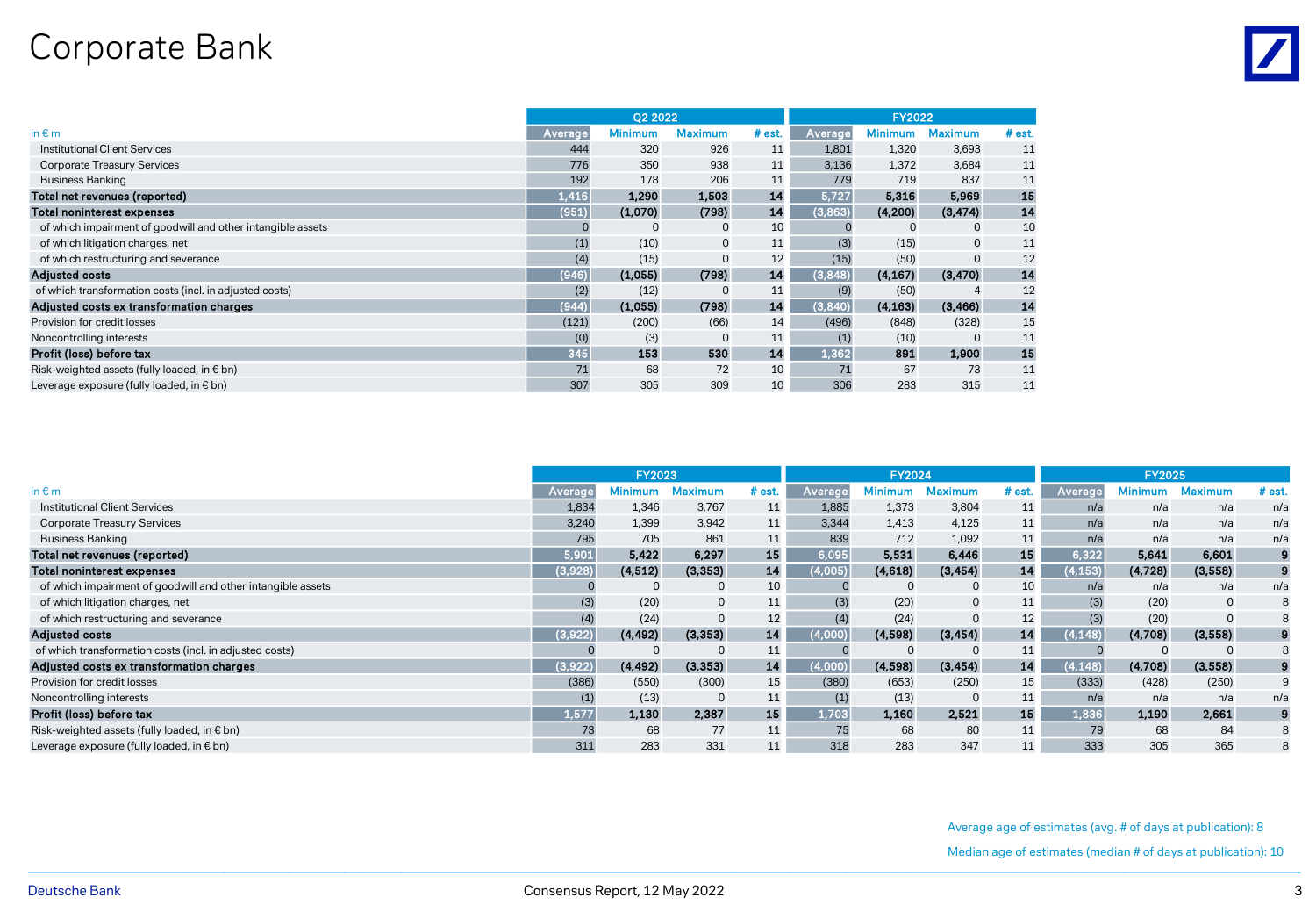## Corporate Bank

|                                                             |         | 02 2022        |                |          |         | <b>FY2022</b>  |                |          |
|-------------------------------------------------------------|---------|----------------|----------------|----------|---------|----------------|----------------|----------|
| in $\varepsilon$ m                                          | Average | <b>Minimum</b> | <b>Maximum</b> | $#$ est. | Average | <b>Minimum</b> | <b>Maximum</b> | $#$ est. |
| <b>Institutional Client Services</b>                        | 444     | 320            | 926            | 11       | 1,801   | 1,320          | 3,693          | 11       |
| <b>Corporate Treasury Services</b>                          | 776     | 350            | 938            | 11       | 3,136   | 1,372          | 3,684          | 11       |
| <b>Business Banking</b>                                     | 192     | 178            | 206            | 11       | 779     | 719            | 837            | 11       |
| Total net revenues (reported)                               | 1,416   | 1,290          | 1,503          | 14       | 5,727   | 5,316          | 5,969          | 15       |
| <b>Total noninterest expenses</b>                           | (951)   | (1,070)        | (798)          | 14       | (3,863) | (4,200)        | (3, 474)       | 14       |
| of which impairment of goodwill and other intangible assets |         | $\mathbf 0$    | $\mathbf 0$    | 10       |         |                | 0              | 10       |
| of which litigation charges, net                            | (1)     | (10)           | $\mathbf 0$    | 11       | (3)     | (15)           | $\mathbf 0$    | 11       |
| of which restructuring and severance                        | (4)     | (15)           |                | 12       | (15)    | (50)           |                | 12       |
| <b>Adjusted costs</b>                                       | (946)   | (1,055)        | (798)          | 14       | (3,848) | (4, 167)       | (3, 470)       | 14       |
| of which transformation costs (incl. in adjusted costs)     | (2)     | (12)           | $\Omega$       | 11       | (9)     | (50)           |                | 12       |
| Adjusted costs ex transformation charges                    | (944)   | (1,055)        | (798)          | 14       | (3,840) | (4, 163)       | (3, 466)       | 14       |
| Provision for credit losses                                 | (121)   | (200)          | (66)           | 14       | (496)   | (848)          | (328)          | 15       |
| Noncontrolling interests                                    | (0)     | (3)            | $\mathbf 0$    | 11       | (1)     | (10)           | $\Omega$       | 11       |
| Profit (loss) before tax                                    | 345     | 153            | 530            | 14       | 1,362   | 891            | 1,900          | 15       |
| Risk-weighted assets (fully loaded, in € bn)                | 71      | 68             | 72             | 10       | 71      | 67             | 73             | 11       |
| Leverage exposure (fully loaded, in € bn)                   | 307     | 305            | 309            | 10       | 306     | 283            | 315            | 11       |

|                                                             | <b>FY2023</b> |          |                |        |         | <b>FY2024</b> |                |        | <b>FY2025</b> |         |                |          |  |  |
|-------------------------------------------------------------|---------------|----------|----------------|--------|---------|---------------|----------------|--------|---------------|---------|----------------|----------|--|--|
| in $\notin$ m                                               | Averag        | 1inimum  | <b>Aaximum</b> | # est. | Average | 1 Ainimum     | <b>Maximum</b> | # est. | Average       | Minimum | <b>Maximum</b> | $#$ est. |  |  |
| Institutional Client Services                               | 1,834         | 1,346    | 3,767          | 11     | 1,885   | 1,373         | 3,804          | 11     | n/a           | n/a     | n/a            | n/a      |  |  |
| <b>Corporate Treasury Services</b>                          | 3,240         | 1,399    | 3,942          | 11     | 3,344   | 1,413         | 4,125          | 11     | n/a           | n/a     | n/a            | n/a      |  |  |
| <b>Business Banking</b>                                     | 795           | 705      | 861            | 11     | 839     | 712           | 1,092          | 11     | n/a           | n/a     | n/a            | n/a      |  |  |
| Total net revenues (reported)                               | 5,901         | 5,422    | 6,297          | 15     | 6,095   | 5,531         | 6,446          | 15     | 6,322         | 5,641   | 6,601          |          |  |  |
| <b>Total noninterest expenses</b>                           | (3,928)       | (4, 512) | (3, 353)       | 14     | 4,005)  | (4,618)       | (3, 454)       | 14     | 4,153)        | (4,728) | (3,558)        |          |  |  |
| of which impairment of goodwill and other intangible assets |               |          | $\mathbf 0$    | 10     |         |               | $\mathbf 0$    | 10     | n/a           | n/a     | n/a            | n/a      |  |  |
| of which litigation charges, net                            | (3)           | (20)     | $\mathbf 0$    | 11     | (3)     | (20)          | $\mathbf 0$    | 11     | (3)           | (20)    | $\mathbf 0$    | 8        |  |  |
| of which restructuring and severance                        | (4)           | (24)     | $\mathbf 0$    | 12     | (4)     | (24)          | $\Omega$       | 12     | (3)           | (20)    | $\Omega$       | 8        |  |  |
| <b>Adjusted costs</b>                                       | (3,922)       | (4, 492) | (3, 353)       | 14     | 4.000)  | (4,598)       | (3, 454)       | 14     | 4.148)        | (4,708) | (3,558)        |          |  |  |
| of which transformation costs (incl. in adjusted costs)     |               |          | $\Omega$       | 11     |         |               | $\Omega$       | 11     |               |         | $\Omega$       | 8        |  |  |
| Adjusted costs ex transformation charges                    | 3,922         | (4, 492) | (3, 353)       | 14     | 4,000)  | (4,598)       | (3, 454)       | 14     | 4,148)        | (4,708) | (3,558)        |          |  |  |
| Provision for credit losses                                 | (386)         | (550)    | (300)          | 15     | (380)   | (653)         | (250)          | 15     | (333)         | (428)   | (250)          | 9        |  |  |
| Noncontrolling interests                                    | (1)           | (13)     | $\mathbf 0$    | 11     | (1)     | (13)          | $\mathbf 0$    | 11     | n/a           | n/a     | n/a            | n/a      |  |  |
| Profit (loss) before tax                                    | 1,577         | 1,130    | 2,387          | 15     | 1,703   | 1,160         | 2.521          | 15     | 1,836         | 1,190   | 2,661          | 9        |  |  |
| Risk-weighted assets (fully loaded, in € bn)                | 73            | 68       | 77             | 11     | 75      | 68            | 80             | 11     | 79            | 68      | 84             | 8        |  |  |
| Leverage exposure (fully loaded, in € bn)                   | 311           | 283      | 331            | 11     | 318     | 283           | 347            |        | 333           | 305     | 365            | 8        |  |  |

Average age of estimates (avg. # of days at publication): 8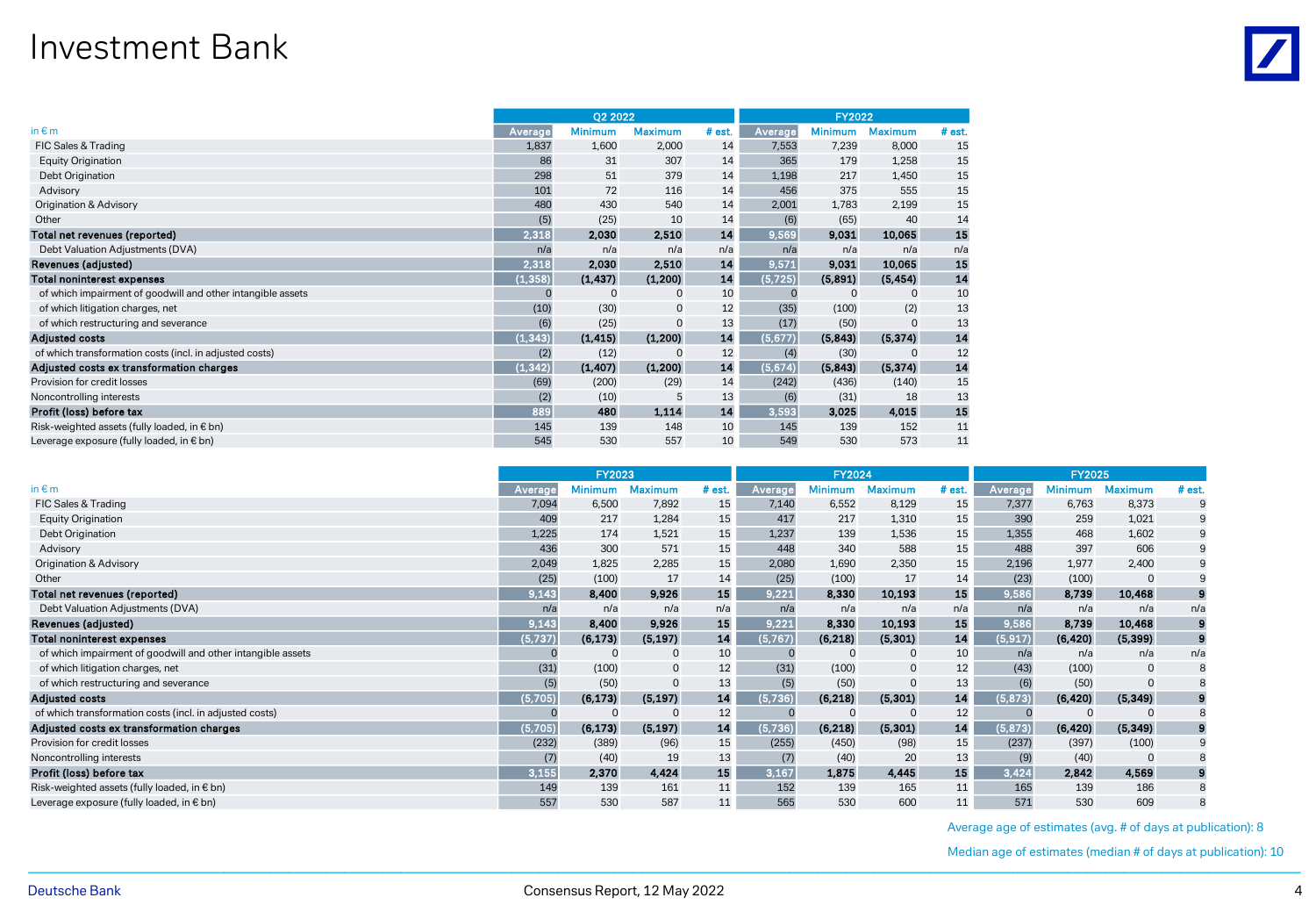#### Investment Bank

|                                                             |          | Q2 2022        |                |        | <b>FY2022</b> |                |                |        |
|-------------------------------------------------------------|----------|----------------|----------------|--------|---------------|----------------|----------------|--------|
| in $\varepsilon$ m                                          | Average  | <b>Minimum</b> | <b>Maximum</b> | # est. | Average       | <b>Minimum</b> | <b>Maximum</b> | # est. |
| FIC Sales & Trading                                         | 1,837    | 1,600          | 2,000          | 14     | 7,553         | 7,239          | 8,000          | 15     |
| Equity Origination                                          | 86       | 31             | 307            | 14     | 365           | 179            | 1,258          | 15     |
| Debt Origination                                            | 298      | 51             | 379            | 14     | 1,198         | 217            | 1,450          | 15     |
| Advisory                                                    | 101      | 72             | 116            | 14     | 456           | 375            | 555            | 15     |
| Origination & Advisory                                      | 480      | 430            | 540            | 14     | 2,001         | 1,783          | 2,199          | 15     |
| Other                                                       | (5)      | (25)           | 10             | 14     | (6)           | (65)           | 40             | 14     |
| Total net revenues (reported)                               | 2,318    | 2,030          | 2,510          | 14     | 9,569         | 9,031          | 10,065         | 15     |
| Debt Valuation Adjustments (DVA)                            | n/a      | n/a            | n/a            | n/a    | n/a           | n/a            | n/a            | n/a    |
| Revenues (adjusted)                                         | 2,318    | 2,030          | 2,510          | 14     | 9,571         | 9,031          | 10,065         | 15     |
| <b>Total noninterest expenses</b>                           | (1, 358) | (1, 437)       | (1, 200)       | 14     | (5, 725)      | (5,891)        | (5, 454)       | 14     |
| of which impairment of goodwill and other intangible assets |          | $\Omega$       | $\mathbf 0$    | 10     | C             | $\Omega$       | $\Omega$       | 10     |
| of which litigation charges, net                            | (10)     | (30)           | $\mathbf 0$    | 12     | (35)          | (100)          | (2)            | 13     |
| of which restructuring and severance                        | (6)      | (25)           | $\mathbf 0$    | 13     | (17)          | (50)           |                | 13     |
| <b>Adjusted costs</b>                                       | (1, 343) | (1, 415)       | (1,200)        | 14     | (5, 677)      | (5,843)        | (5, 374)       | 14     |
| of which transformation costs (incl. in adjusted costs)     | (2)      | (12)           | $\Omega$       | 12     | (4)           | (30)           | $\Omega$       | 12     |
| Adjusted costs ex transformation charges                    | (1, 342) | (1, 407)       | (1,200)        | 14     | (5,674)       | (5,843)        | (5, 374)       | 14     |
| Provision for credit losses                                 | (69)     | (200)          | (29)           | 14     | (242)         | (436)          | (140)          | 15     |
| Noncontrolling interests                                    | (2)      | (10)           | 5              | 13     | (6)           | (31)           | 18             | 13     |
| Profit (loss) before tax                                    | 889      | 480            | 1.114          | 14     | 3,593         | 3.025          | 4.015          | 15     |
| Risk-weighted assets (fully loaded, in € bn)                | 145      | 139            | 148            | 10     | 145           | 139            | 152            | 11     |
| Leverage exposure (fully loaded, in € bn)                   | 545      | 530            | 557            | 10     | 549           | 530            | 573            | 11     |

|                                                             |         | <b>FY2023</b>  |                |        |         | <b>FY2024</b>  |                |        |          | <b>FY2025</b>  |                |          |  |  |
|-------------------------------------------------------------|---------|----------------|----------------|--------|---------|----------------|----------------|--------|----------|----------------|----------------|----------|--|--|
| in $\varepsilon$ m                                          | Average | <b>Minimum</b> | 1aximum        | # est. | Average | <b>Minimum</b> | <b>Maximum</b> | # est. | Average  | <b>Minimum</b> | <b>Maximum</b> | # est.   |  |  |
| FIC Sales & Trading                                         | 7,094   | 6,500          | 7,892          | 15     | 7,140   | 6,552          | 8,129          | 15     | 7,377    | 6,763          | 8,373          | 9        |  |  |
| <b>Equity Origination</b>                                   | 409     | 217            | 1,284          | 15     | 417     | 217            | 1,310          | 15     | 390      | 259            | 1,021          | 9        |  |  |
| Debt Origination                                            | 1,225   | 174            | 1,521          | 15     | 1,237   | 139            | 1,536          | 15     | 1,355    | 468            | 1,602          | 9        |  |  |
| Advisory                                                    | 436     | 300            | 571            | 15     | 448     | 340            | 588            | 15     | 488      | 397            | 606            | 9        |  |  |
| Origination & Advisory                                      | 2,049   | 1,825          | 2,285          | 15     | 2,080   | 1,690          | 2,350          | 15     | 2,196    | 1,977          | 2,400          | 9        |  |  |
| Other                                                       | (25)    | (100)          | 17             | 14     | (25)    | (100)          | 17             | 14     | (23)     | (100)          | $\Omega$       | 9        |  |  |
| Total net revenues (reported)                               | 9,143   | 8,400          | 9,926          | 15     | 9,221   | 8,330          | 10,193         | 15     | 9,586    | 8,739          | 10,468         | 9        |  |  |
| Debt Valuation Adjustments (DVA)                            | n/a     | n/a            | n/a            | n/a    | n/a     | n/a            | n/a            | n/a    | n/a      | n/a            | n/a            | n/a      |  |  |
| Revenues (adjusted)                                         | 9,143   | 8,400          | 9,926          | 15     | 9,221   | 8,330          | 10,193         | 15     | 9,586    | 8,739          | 10,468         | 9        |  |  |
| Total noninterest expenses                                  | (5,737) | (6, 173)       | (5, 197)       | 14     | (5,767) | (6, 218)       | (5, 301)       | 14     | (5, 917) | (6, 420)       | (5, 399)       | $\bf{9}$ |  |  |
| of which impairment of goodwill and other intangible assets |         |                | 0              | 10     |         |                | 0              | 10     | n/a      | n/a            | n/a            | n/a      |  |  |
| of which litigation charges, net                            | (31)    | (100)          | $\mathbf 0$    | 12     | (31)    | (100)          | 0              | 12     | (43)     | (100)          | $\mathbf 0$    | 8        |  |  |
| of which restructuring and severance                        | (5)     | (50)           | $\overline{0}$ | 13     | (5)     | (50)           | 0              | 13     | (6)      | (50)           |                | 8        |  |  |
| <b>Adjusted costs</b>                                       | (5,705) | (6, 173)       | (5, 197)       | 14     | (5,736) | (6, 218)       | (5, 301)       | 14     | (5, 873) | (6, 420)       | (5, 349)       | 9        |  |  |
| of which transformation costs (incl. in adjusted costs)     |         |                |                | 12     |         |                |                | 12     | $\Omega$ |                |                | 8        |  |  |
| Adjusted costs ex transformation charges                    | (5,705) | (6, 173)       | (5, 197)       | 14     | (5,736) | (6, 218)       | (5, 301)       | 14     | (5, 873) | (6, 420)       | (5, 349)       | 9        |  |  |
| Provision for credit losses                                 | (232)   | (389)          | (96)           | 15     | (255)   | (450)          | (98)           | 15     | (237)    | (397)          | (100)          | 9        |  |  |
| Noncontrolling interests                                    | (7)     | (40)           | 19             | 13     | (7)     | (40)           | 20             | 13     | (9)      | (40)           |                | 8        |  |  |
| Profit (loss) before tax                                    | 3,155   | 2,370          | 4,424          | 15     | 3,167   | 1,875          | 4,445          | 15     | 3,424    | 2,842          | 4,569          | 9        |  |  |
| Risk-weighted assets (fully loaded, in $\epsilon$ bn)       | 149     | 139            | 161            | 11     | 152     | 139            | 165            | 11     | 165      | 139            | 186            | 8        |  |  |
| Leverage exposure (fully loaded, in € bn)                   | 557     | 530            | 587            | 11     | 565     | 530            | 600            | 11     | 571      | 530            | 609            | 8        |  |  |

Average age of estimates (avg. # of days at publication): 8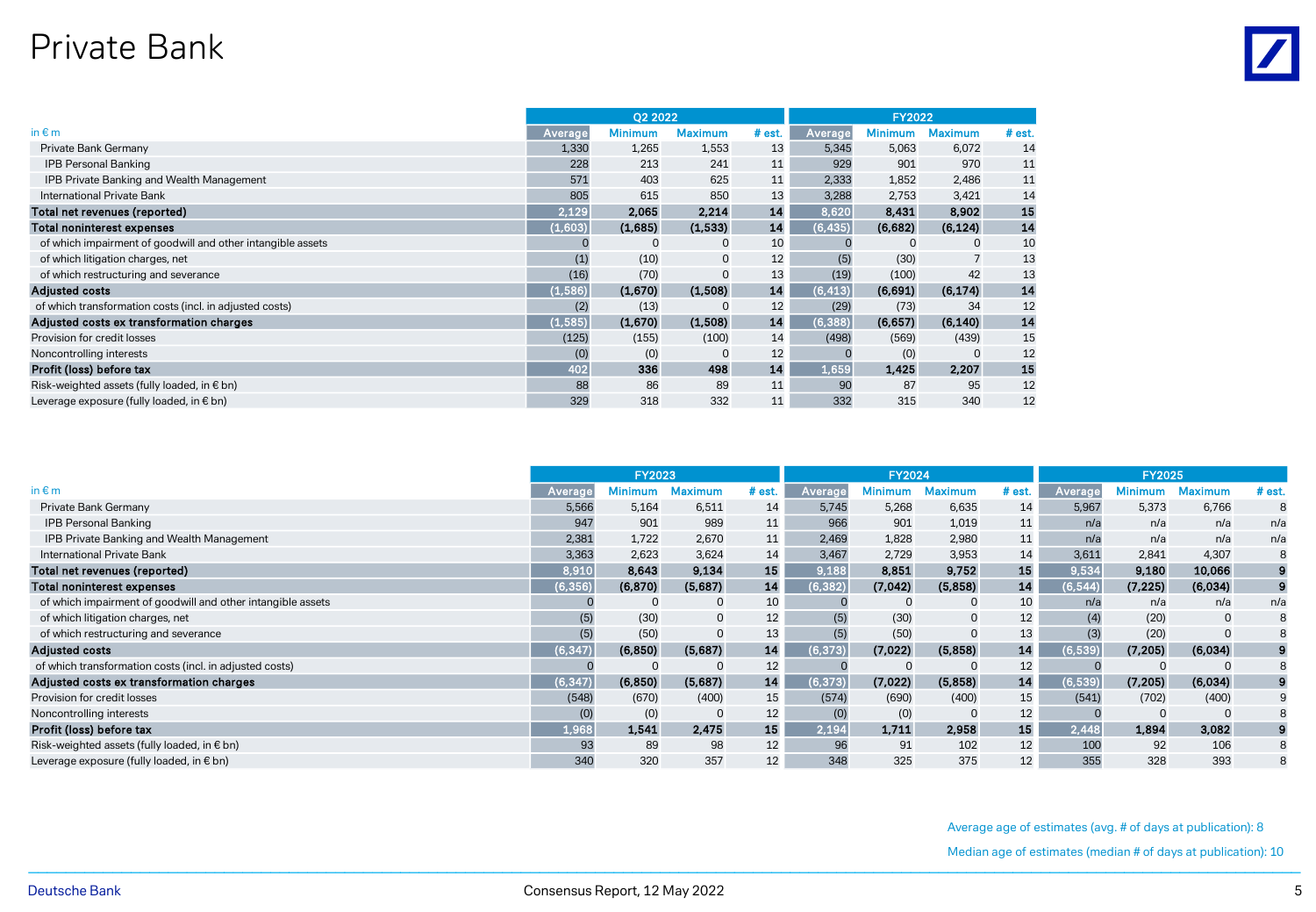#### Private Bank

|                                                             |          | <b>Q2 2022</b> |                |          |          | <b>FY2022</b>  |                |        |  |  |
|-------------------------------------------------------------|----------|----------------|----------------|----------|----------|----------------|----------------|--------|--|--|
| in $\varepsilon$ m                                          | Average  | <b>Minimum</b> | <b>Maximum</b> | $#$ est. | Average  | <b>Minimum</b> | <b>Maximum</b> | # est. |  |  |
| Private Bank Germany                                        | 1,330    | 1,265          | 1,553          | 13       | 5,345    | 5,063          | 6,072          | 14     |  |  |
| <b>IPB Personal Banking</b>                                 | 228      | 213            | 241            | 11       | 929      | 901            | 970            | 11     |  |  |
| IPB Private Banking and Wealth Management                   | 571      | 403            | 625            | 11       | 2,333    | 1,852          | 2,486          | 11     |  |  |
| International Private Bank                                  | 805      | 615            | 850            | 13       | 3,288    | 2,753          | 3,421          | 14     |  |  |
| Total net revenues (reported)                               | 2,129    | 2,065          | 2,214          | 14       | 8,620    | 8,431          | 8,902          | 15     |  |  |
| <b>Total noninterest expenses</b>                           | (1,603)  | (1,685)        | (1,533)        | 14       | (6, 435) | (6,682)        | (6, 124)       | 14     |  |  |
| of which impairment of goodwill and other intangible assets |          | $\mathbf 0$    | $\mathbf 0$    | 10       |          | $\mathbf 0$    | 0              | 10     |  |  |
| of which litigation charges, net                            | (1)      | (10)           | 0              | 12       | (5)      | (30)           |                | 13     |  |  |
| of which restructuring and severance                        | (16)     | (70)           | $\Omega$       | 13       | (19)     | (100)          | 42             | 13     |  |  |
| <b>Adjusted costs</b>                                       | (1, 586) | (1,670)        | (1,508)        | 14       | (6, 413) | (6,691)        | (6, 174)       | 14     |  |  |
| of which transformation costs (incl. in adjusted costs)     | (2)      | (13)           | $\mathbf 0$    | 12       | (29)     | (73)           | 34             | 12     |  |  |
| Adjusted costs ex transformation charges                    | (1, 585) | (1,670)        | (1,508)        | 14       | (6, 388) | (6, 657)       | (6, 140)       | 14     |  |  |
| Provision for credit losses                                 | (125)    | (155)          | (100)          | 14       | (498)    | (569)          | (439)          | 15     |  |  |
| Noncontrolling interests                                    | (0)      | (0)            | 0              | 12       |          | (0)            | $\Omega$       | 12     |  |  |
| Profit (loss) before tax                                    | 402      | 336            | 498            | 14       | 1,659    | 1,425          | 2.207          | 15     |  |  |
| Risk-weighted assets (fully loaded, in € bn)                | 88       | 86             | 89             | 11       | 90       | 87             | 95             | 12     |  |  |
| Leverage exposure (fully loaded, in € bn)                   | 329      | 318            | 332            | 11       | 332      | 315            | 340            | 12     |  |  |

|                                                             | <b>FY2023</b> |          |             |           |          | <b>FY2024</b> |                |        | <b>FY2025</b> |          |                |          |  |  |
|-------------------------------------------------------------|---------------|----------|-------------|-----------|----------|---------------|----------------|--------|---------------|----------|----------------|----------|--|--|
| in $\epsilon$ m                                             | Averag        | 1inimum  | Aaximum     | # est.    | Average  | 1inimum       | <b>Maximum</b> | # est. | Average       | Minimum  | <b>Maximum</b> | $#$ est. |  |  |
| Private Bank Germany                                        | 5,566         | 5,164    | 6,511       | 14        | 5,745    | 5,268         | 6,635          | 14     | 5,967         | 5,373    | 6,766          | 8        |  |  |
| <b>IPB Personal Banking</b>                                 | 947           | 901      | 989         | 11        | 966      | 901           | 1,019          | 11     | n/a           | n/a      | n/a            | n/a      |  |  |
| IPB Private Banking and Wealth Management                   | 2,381         | 1,722    | 2,670       | 11        | 2,469    | 1,828         | 2,980          | 11     | n/a           | n/a      | n/a            | n/a      |  |  |
| International Private Bank                                  | 3,363         | 2,623    | 3,624       | 14        | 3,467    | 2,729         | 3,953          | 14     | 3,611         | 2,841    | 4,307          | 8        |  |  |
| Total net revenues (reported)                               | 8,910         | 8,643    | 9,134       | <b>15</b> | 9,188    | 8,851         | 9,752          | 15     | 9,534         | 9,180    | 10,066         | 9        |  |  |
| Total noninterest expenses                                  | (6, 356)      | (6, 870) | (5,687)     | 14        | (6, 382) | (7,042)       | (5.858)        | 14     | (6, 544)      | (7, 225) | (6,034)        | 9        |  |  |
| of which impairment of goodwill and other intangible assets |               |          | $\mathbf 0$ | 10        |          |               | $\Omega$       | 10     | n/a           | n/a      | n/a            | n/a      |  |  |
| of which litigation charges, net                            | (5)           | (30)     | $\mathbf 0$ | 12        | (5)      | (30)          | $\mathbf 0$    | 12     | (4)           | (20)     | $\mathbf 0$    | 8        |  |  |
| of which restructuring and severance                        | (5)           | (50)     | $\mathbf 0$ | 13        | (5)      | (50)          | $\Omega$       | 13     | (3)           | (20)     | $\Omega$       | 8        |  |  |
| <b>Adjusted costs</b>                                       | 6,347         | (6, 850) | (5,687)     | 14        | (6, 373) | (7,022)       | (5,858)        | 14     | (6, 539)      | (7, 205) | (6,034)        | 9        |  |  |
| of which transformation costs (incl. in adjusted costs)     |               |          | $\Omega$    | 12        |          |               |                | 12     |               |          |                | 8        |  |  |
| Adjusted costs ex transformation charges                    | 6,347         | (6, 850) | (5,687)     | 14        | (6,373)  | (7,022)       | (5,858)        | 14     | (6, 539)      | (7, 205) | (6,034)        | 9        |  |  |
| Provision for credit losses                                 | (548)         | (670)    | (400)       | 15        | (574)    | (690)         | (400)          | 15     | (541)         | (702)    | (400)          | 9        |  |  |
| Noncontrolling interests                                    | (0)           | (0)      | $\mathbf 0$ | 12        | (0)      | (0)           |                | 12     |               |          | $\Omega$       | 8        |  |  |
| Profit (loss) before tax                                    | 1,968         | 1,541    | 2,475       | 15        | 2,194    | 1,711         | 2,958          | 15     | 2,448         | 1,894    | 3,082          | 9        |  |  |
| Risk-weighted assets (fully loaded, in € bn)                | 93            | 89       | 98          | 12        | 96       | 91            | 102            | 12     | 100           | 92       | 106            | 8        |  |  |
| Leverage exposure (fully loaded, in € bn)                   | 340           | 320      | 357         | 12        | 348      | 325           | 375            | 12     | 355           | 328      | 393            | 8        |  |  |

Average age of estimates (avg. # of days at publication): 8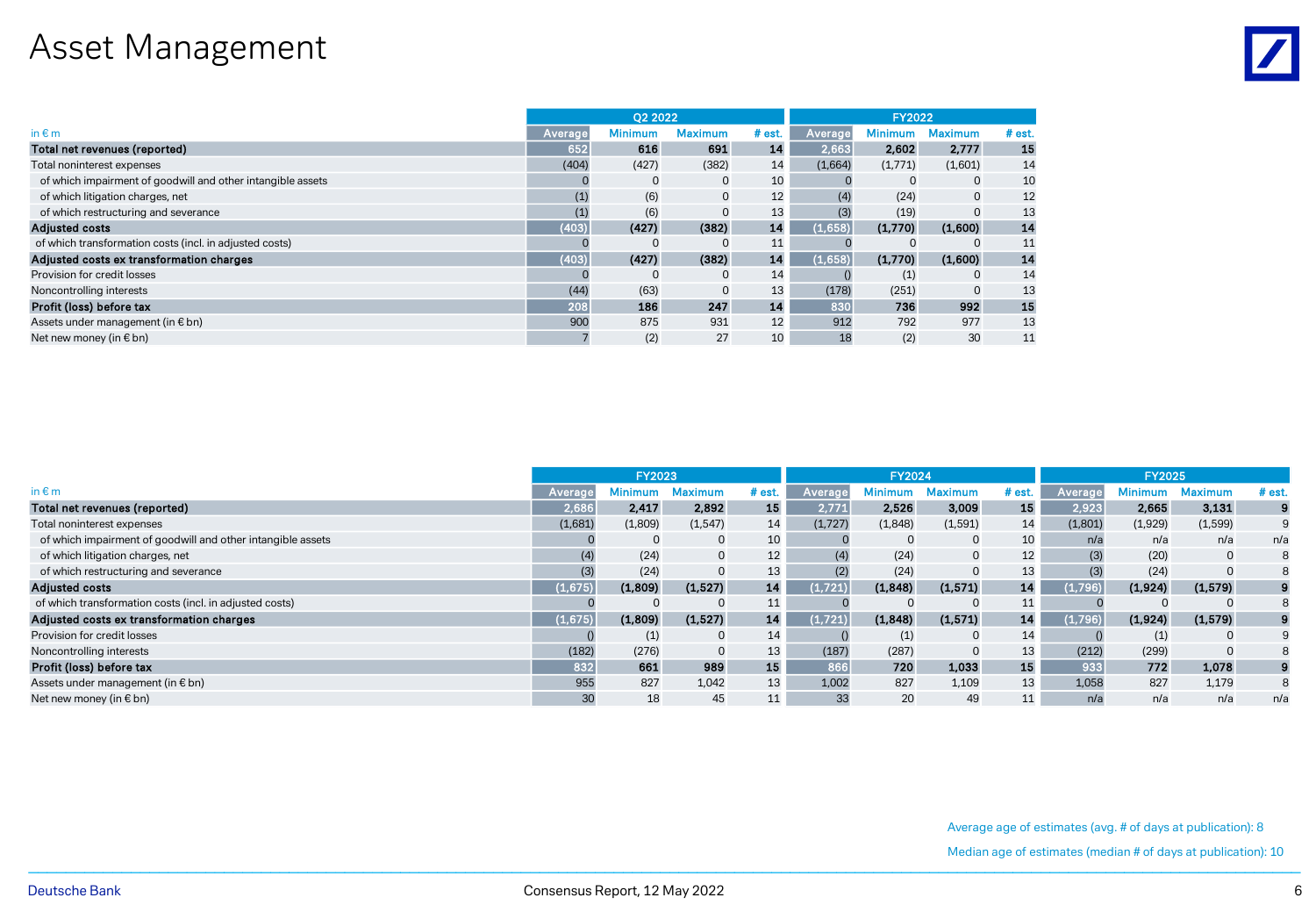# Asset Management

|                                                             |         | O <sub>2</sub> 2022 |                |          |         | <b>FY2022</b>  |              |          |  |  |
|-------------------------------------------------------------|---------|---------------------|----------------|----------|---------|----------------|--------------|----------|--|--|
| in $\varepsilon$ m                                          | Average | <b>Minimum</b>      | <b>Maximum</b> | $#$ est. | Average | <b>Minimum</b> | Maximum      | $#$ est. |  |  |
| Total net revenues (reported)                               | 652     | 616                 | 691            | 14       | 2,663   | 2.602          | 2,777        | 15       |  |  |
| Total noninterest expenses                                  | (404)   | (427)               | (382)          | 14       | (1,664) | (1,771)        | (1,601)      | 14       |  |  |
| of which impairment of goodwill and other intangible assets |         | $\mathbf 0$         | $\mathbf 0$    | 10       |         |                | $\mathbf{0}$ | 10       |  |  |
| of which litigation charges, net                            | (1)     | (6)                 | $\mathbf 0$    | 12       | (4)     | (24)           | $\mathbf 0$  | 12       |  |  |
| of which restructuring and severance                        | (1)     | (6)                 |                | 13       | (3)     | (19)           |              | 13       |  |  |
| <b>Adjusted costs</b>                                       | (403)   | (427)               | (382)          | 14       | (1,658) | (1,770)        | (1,600)      | 14       |  |  |
| of which transformation costs (incl. in adjusted costs)     |         |                     |                | 11       |         |                |              | 11       |  |  |
| Adjusted costs ex transformation charges                    | (403)   | (427)               | (382)          | 14       | (1,658) | (1,770)        | (1,600)      | 14       |  |  |
| Provision for credit losses                                 |         | $\Omega$            | $\Omega$       | 14       |         | (1)            | $\Omega$     | 14       |  |  |
| Noncontrolling interests                                    | (44)    | (63)                |                | 13       | (178)   | (251)          |              | 13       |  |  |
| Profit (loss) before tax                                    | 208     | 186                 | 247            | 14       | 830     | 736            | 992          | 15       |  |  |
| Assets under management (in $\epsilon$ bn)                  | 900     | 875                 | 931            | 12       | 912     | 792            | 977          | 13       |  |  |
| Net new money (in $\epsilon$ bn)                            |         | (2)                 | 27             | 10       | 18      | (2)            | 30           | 11       |  |  |

|                                                             | <b>FY2023</b> |         |                |        |         | <b>FY2024</b> |                |        | <b>FY2025</b> |                |                |          |  |
|-------------------------------------------------------------|---------------|---------|----------------|--------|---------|---------------|----------------|--------|---------------|----------------|----------------|----------|--|
| in $\notin$ m                                               | Averag        | Minimum | <b>Maximum</b> | # est. | Averag  | Minimum       | <b>Maximum</b> | # est. | Averag        | <b>Minimum</b> | <b>Maximum</b> | $#$ est. |  |
| Total net revenues (reported)                               | 2,686         | 2,417   | 2,892          | 15     | 2,771   | 2,526         | 3,009          | 15     | 2,923         | 2,665          | 3,131          | 9        |  |
| Total noninterest expenses                                  | (1,681)       | (1,809) | (1, 547)       | 14     | (1,727) | (1,848)       | (1,591)        | 14     | (1,801)       | (1,929)        | (1, 599)       | 9        |  |
| of which impairment of goodwill and other intangible assets |               |         | 0              | 10     |         |               | 0              | 10     | n/a           | n/a            | n/a            | n/a      |  |
| of which litigation charges, net                            | (4)           | (24)    | $\mathbf{0}$   | 12     | (4)     | (24)          | 0              | 12     | (3)           | (20)           | 0              | 8        |  |
| of which restructuring and severance                        |               | (24)    | $\mathbf 0$    | 13     | (2)     | (24)          | $\Omega$       | 13     |               | (24)           |                | 8        |  |
| <b>Adjusted costs</b>                                       | 1.675)        | (1,809) | (1, 527)       | 14     | (1.721) | (1,848)       | (1,571)        | 14     | (1.796)       | (1,924)        | (1, 579)       |          |  |
| of which transformation costs (incl. in adjusted costs)     |               |         | $\Omega$       | 11     |         |               |                | ᆠᅶ     |               |                | $\Omega$       | 8        |  |
| Adjusted costs ex transformation charges                    | 1.675)        | (1,809) | (1,527)        | 14     | (1.721) | (1,848)       | (1,571)        | 14     | (1.796)       | (1,924)        | (1,579)        |          |  |
| Provision for credit losses                                 |               | (1)     | 0              | 14     |         | (1)           | $\Omega$       | 14     |               | (1)            |                | 9        |  |
| Noncontrolling interests                                    | (182)         | (276)   | $\mathbf{0}$   | 13     | (187)   | (287)         | $\Omega$       | 13     | (212)         | (299)          | $\Omega$       | 8        |  |
| Profit (loss) before tax                                    | 832           | 661     | 989            | 15     | 866     | 720           | 1,033          | 15     | 933           | 772            | 1,078          | 9        |  |
| Assets under management (in € bn)                           | 955           | 827     | 1,042          | 13     | 1,002   | 827           | 1,109          | 13     | 1,058         | 827            | 1,179          | 8        |  |
| Net new money (in $\epsilon$ bn)                            | 30            | 18      | 45             |        | 33      | 20            | 49             |        | n/a           | n/a            | n/a            | n/a      |  |

Average age of estimates (avg. # of days at publication): 8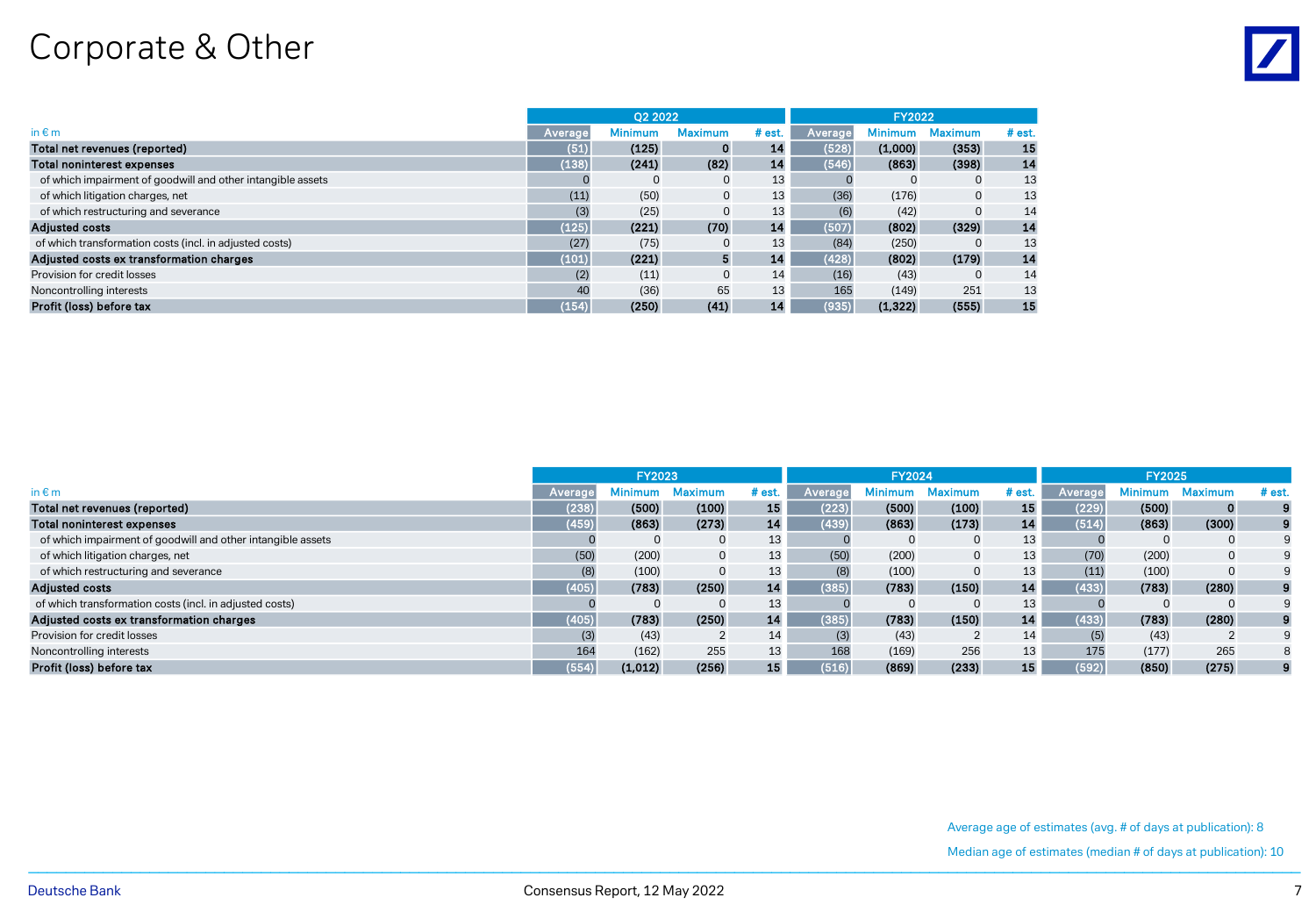# Corporate & Other

|                                                             |         | 02 2022        |                |        | <b>FY2022</b> |                |                |          |  |
|-------------------------------------------------------------|---------|----------------|----------------|--------|---------------|----------------|----------------|----------|--|
| in $\varepsilon$ m                                          | Average | <b>Minimum</b> | <b>Maximum</b> | # est. | Average       | <b>Minimum</b> | <b>Maximum</b> | $#$ est. |  |
| Total net revenues (reported)                               | (51)    | (125)          | 0              | 14     | (528)         | (1,000)        | (353)          | 15       |  |
| Total noninterest expenses                                  | (138)   | (241)          | (82)           | 14     | (546)         | (863)          | (398)          | 14       |  |
| of which impairment of goodwill and other intangible assets |         | $\mathbf 0$    | 0              | 13     |               |                | 0              | 13       |  |
| of which litigation charges, net                            | (11)    | (50)           |                | 13     | (36)          | (176)          | $\mathbf 0$    | 13       |  |
| of which restructuring and severance                        | (3)     | (25)           |                | 13     | (6)           | (42)           |                | 14       |  |
| <b>Adjusted costs</b>                                       | (125)   | (221)          | (70)           | 14     | (507)         | (802)          | (329)          | 14       |  |
| of which transformation costs (incl. in adjusted costs)     | (27)    | (75)           |                | 13     | (84)          | (250)          |                | 13       |  |
| Adjusted costs ex transformation charges                    | (101)   | (221)          | 5              | 14     | (428)         | (802)          | (179)          | 14       |  |
| Provision for credit losses                                 | (2)     | (11)           |                | 14     | (16)          | (43)           | $\Omega$       | 14       |  |
| Noncontrolling interests                                    | 40      | (36)           | 65             | 13     | 165           | (149)          | 251            | 13       |  |
| Profit (loss) before tax                                    | (154)   | (250)          | (41)           | 14     | (935)         | (1, 322)       | (555)          | 15       |  |

|                                                             | <b>FY2023</b> |          |                |        |       | <b>FY2024</b>  |                |        |       | <b>FY2025</b>  |                |          |
|-------------------------------------------------------------|---------------|----------|----------------|--------|-------|----------------|----------------|--------|-------|----------------|----------------|----------|
| in $\varepsilon$ m                                          | Averag        | Minimum. | <b>Maximum</b> | # est. |       | <b>Minimum</b> | <b>Maximum</b> | # est. |       | <b>Minimum</b> | <b>Maximum</b> | $#$ est. |
| Total net revenues (reported)                               | (238)         | (500)    | (100)          | 15     | (223) | (500)          | (100)          | 15     | (229) | (500)          | $\Omega$       |          |
| Total noninterest expenses                                  | (459)         | (863)    | (273)          | 14     | (439) | (863)          | (173)          | 14     | (514) | (863)          | (300)          |          |
| of which impairment of goodwill and other intangible assets |               |          | $\Omega$       | 13     |       |                | $\Omega$       | 13     |       |                |                |          |
| of which litigation charges, net                            | (50)          | (200)    | $\mathbf{0}$   | 13     | (50)  | (200)          | $\mathbf{0}$   | 13     | (70)  | (200)          |                |          |
| of which restructuring and severance                        | (8)           | (100)    | $\mathbf{0}$   | 13     | (8)   | (100)          | $\Omega$       | 13     | (11)  | (100)          |                |          |
| <b>Adjusted costs</b>                                       | (405)         | (783)    | (250)          | 14     | (385) | (783)          | (150)          | 14     | (433) | (783)          | (280)          |          |
| of which transformation costs (incl. in adjusted costs)     |               |          | $\Omega$       | 13     |       |                |                | 13     |       |                |                |          |
| Adjusted costs ex transformation charges                    | (405)         | (783)    | (250)          | 14     | (385) | (783)          | (150)          | 14     | (433) | (783)          | (280)          |          |
| Provision for credit losses                                 |               | (43)     |                | 14     | (3)   | (43)           |                | 14     |       | (43)           |                |          |
| Noncontrolling interests                                    | 164           | (162)    | 255            | 13     | 168   | (169)          | 256            | 13     | 175   | (177)          | 265            |          |
| Profit (loss) before tax                                    | (554)         | (1,012)  | (256)          | 15     | (516) | (869)          | (233)          | 15     | (592) | (850)          | (275)          |          |

Average age of estimates (avg. # of days at publication): 8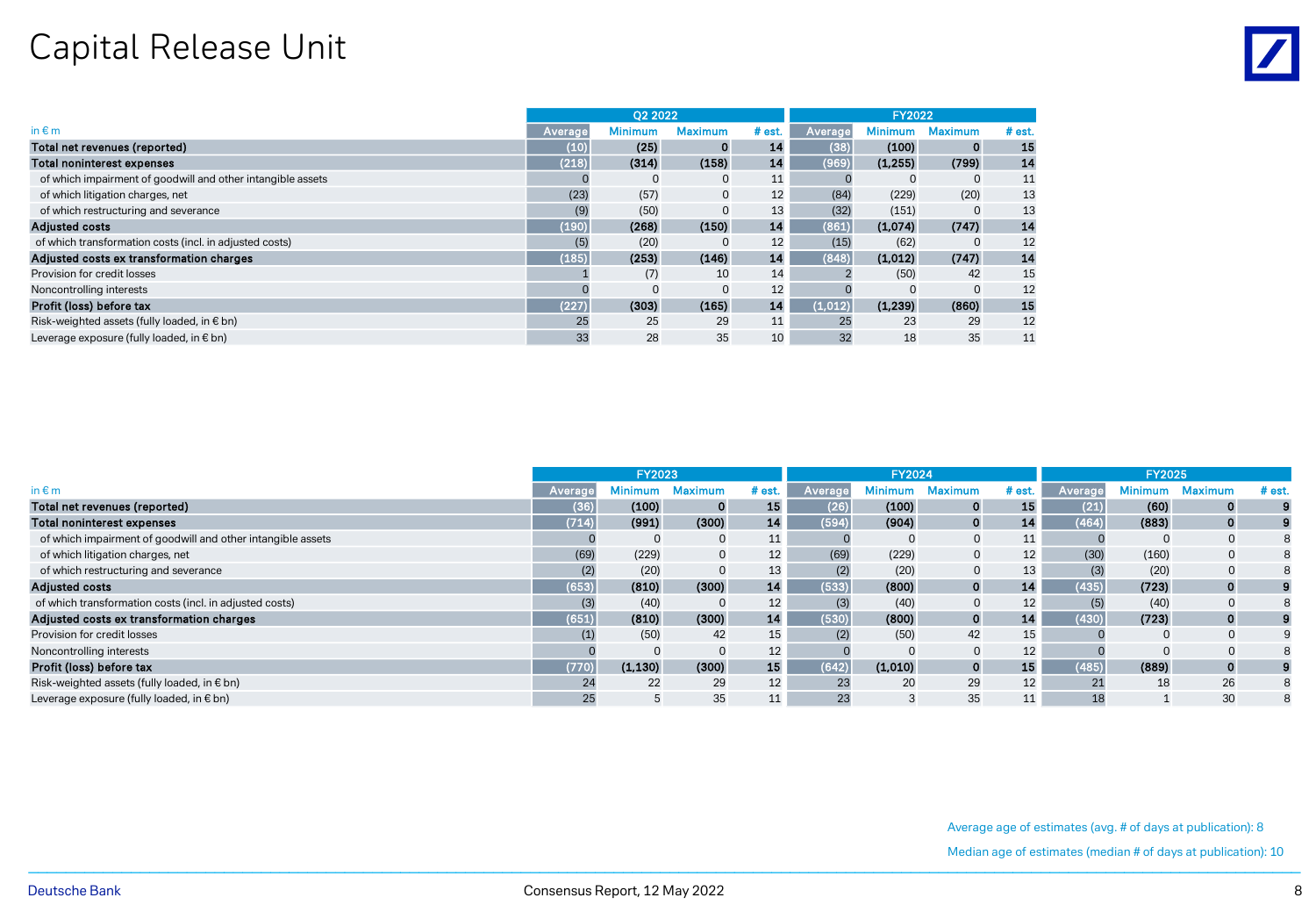## Capital Release Unit

|                                                             |          | <b>O2 2022</b> |                | <b>FY2022</b> |         |                |                |          |
|-------------------------------------------------------------|----------|----------------|----------------|---------------|---------|----------------|----------------|----------|
| in $\notin$ m                                               | Average, | <b>Minimum</b> | <b>Maximum</b> | $#$ est.      | Average | <b>Minimum</b> | <b>Maximum</b> | $#$ est. |
| Total net revenues (reported)                               | (10)     | (25)           | $\mathbf 0$    | 14            | (38)    | (100)          | $\mathbf{o}$   | 15       |
| <b>Total noninterest expenses</b>                           | (218)    | (314)          | (158)          | 14            | (969)   | (1,255)        | (799)          | 14       |
| of which impairment of goodwill and other intangible assets |          | $\Omega$       | $\mathbf 0$    | 11            |         |                | $\Omega$       | 11       |
| of which litigation charges, net                            | (23)     | (57)           | $\mathbf 0$    | 12            | (84)    | (229)          | (20)           | 13       |
| of which restructuring and severance                        | (9)      | (50)           | $\Omega$       | 13            | (32)    | (151)          | $\Omega$       | 13       |
| <b>Adjusted costs</b>                                       | (190)    | (268)          | (150)          | 14            | (861)   | (1,074)        | (747)          | 14       |
| of which transformation costs (incl. in adjusted costs)     | (5)      | (20)           | $\Omega$       | 12            | (15)    | (62)           |                | 12       |
| Adjusted costs ex transformation charges                    | (185)    | (253)          | (146)          | 14            | (848)   | (1,012)        | (747)          | 14       |
| Provision for credit losses                                 |          | (7)            | 10             | 14            |         | (50)           | 42             | 15       |
| Noncontrolling interests                                    |          | $\Omega$       | $\Omega$       | 12            |         |                |                | 12       |
| Profit (loss) before tax                                    | (227)    | (303)          | (165)          | 14            | (1.012) | (1.239)        | (860)          | 15       |
| Risk-weighted assets (fully loaded, in € bn)                | 25       | 25             | 29             | 11            | 25      | 23             | 29             | 12       |
| Leverage exposure (fully loaded, in € bn)                   | 33       | 28             | 35             | 10            | 32      | 18             | 35             | 11       |

|                                                             | <b>FY2023</b> |          |              |          | FY2024  |         |                |        | <b>FY2025</b> |                |                |          |
|-------------------------------------------------------------|---------------|----------|--------------|----------|---------|---------|----------------|--------|---------------|----------------|----------------|----------|
| in $\notin$ m                                               | Averago       | Minimum  | Maximum      | $#$ est. | Average | Minimum | <b>Maximum</b> | # est. | Average       | <b>Minimum</b> | <b>Maximum</b> | $#$ est. |
| Total net revenues (reported)                               | (36)          | (100)    | $\mathbf{o}$ | 15       | (26)    | (100)   | 0              | 15     | (21)          | (60)           | $\Omega$       |          |
| Total noninterest expenses                                  | (714)         | (991)    | (300)        | 14       | (594)   | (904)   | $\bf{0}$       | 14     | (464)         | (883)          | 0              |          |
| of which impairment of goodwill and other intangible assets |               |          | $\Omega$     | 11       |         |         |                |        |               |                |                |          |
| of which litigation charges, net                            | (69)          | (229)    | 0            | 12       | (69)    | (229)   | $\mathbf{0}$   | 12     | (30)          | (160)          |                |          |
| of which restructuring and severance                        |               | (20)     |              | 13       | (2)     | (20)    | $\Omega$       | 13     |               | (20)           |                |          |
| <b>Adjusted costs</b>                                       | (653)         | (810)    | (300)        | 14       | (533)   | (800)   | $\mathbf{0}$   | 14     | (435)         | (723)          | 0              |          |
| of which transformation costs (incl. in adjusted costs)     |               | (40)     | $\Omega$     | 12       | (3)     | (40)    | 0              | 12     |               | (40)           |                |          |
| Adjusted costs ex transformation charges                    | (651)         | (810)    | (300)        | 14       | (530)   | (800)   | $\mathbf{0}$   | 14     | (430)         | (723)          | $\Omega$       |          |
| Provision for credit losses                                 |               | (50)     | 42           | 15       | (2)     | (50)    | 42             | 15     |               |                |                |          |
| Noncontrolling interests                                    |               |          | $\Omega$     | 12       |         |         | $\Omega$       | 12     |               |                |                |          |
| Profit (loss) before tax                                    | (770)         | (1, 130) | (300)        | 15       | (642)   | (1,010) | $\mathbf{o}$   | 15     | (485)         | (889)          | 0              |          |
| Risk-weighted assets (fully loaded, in € bn)                | 24            | 22       | 29           | 12       | 23      | 20      | 29             | 12     |               | 18             | 26             |          |
| Leverage exposure (fully loaded, in € bn)                   | 25            |          | 35           | ᅭ        | 23      |         | 35             | ᆠᆠ     | 18            |                | 30             |          |

Average age of estimates (avg. # of days at publication): 8